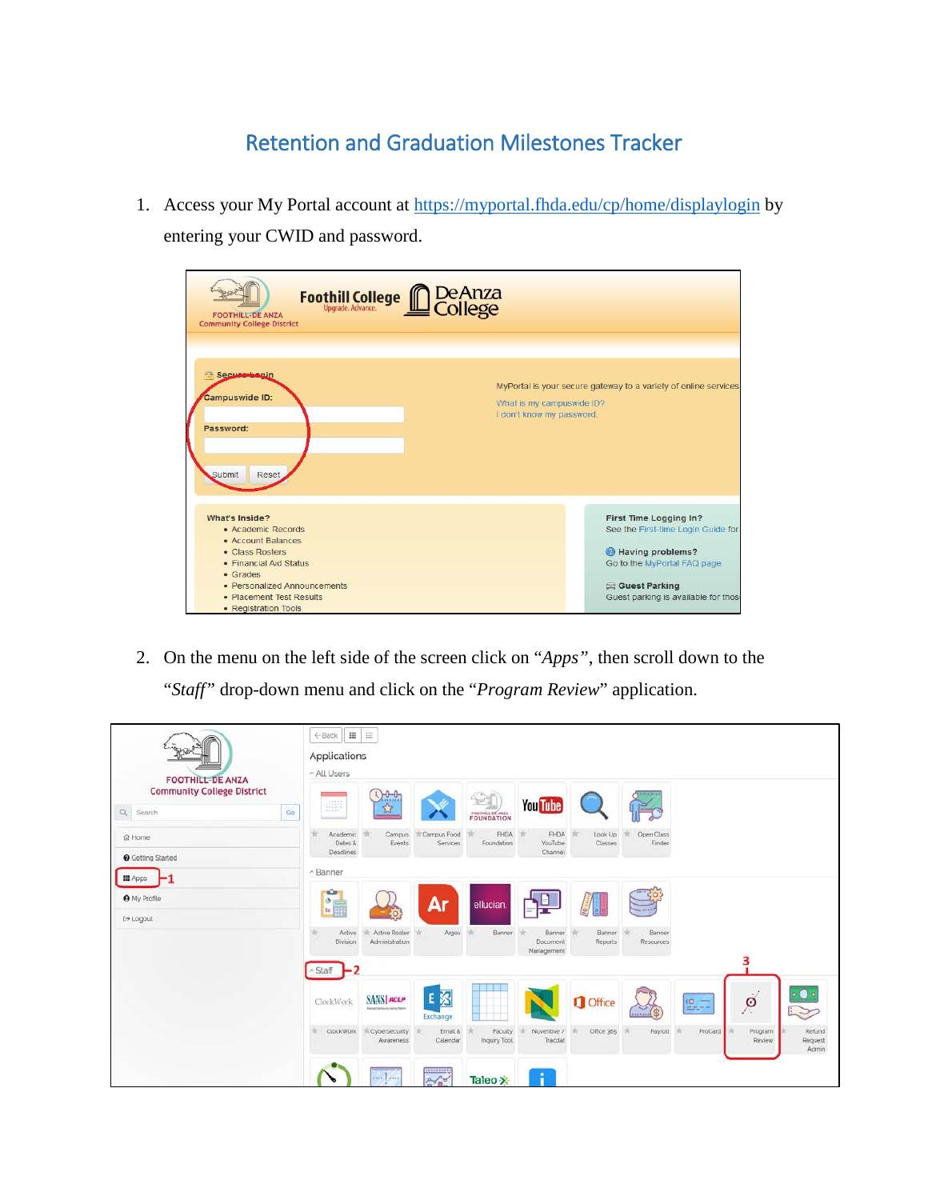## Retention and Graduation Milestones Tracker

1. Access your My Portal account at<https://myportal.fhda.edu/cp/home/displaylogin> by entering your CWID and password.

| Foothill College <b>COLLEGE</b><br>College<br><b>FOOTHILL-DE ANZA</b><br><b>Community College District</b>                                                                                              |                                                                                                                                                                          |  |  |  |  |  |
|---------------------------------------------------------------------------------------------------------------------------------------------------------------------------------------------------------|--------------------------------------------------------------------------------------------------------------------------------------------------------------------------|--|--|--|--|--|
| Secure Legin<br>MyPortal is your secure gateway to a variety of online services<br><b>Campuswide ID:</b><br>What is my campuswide ID?<br>I don't know my password.<br>Password:<br>Submit<br>Reset      |                                                                                                                                                                          |  |  |  |  |  |
| What's Inside?<br>• Academic Records<br>• Account Balances<br>• Class Rosters<br>• Financial Aid Status<br>• Grades<br>• Personalized Announcements<br>• Placement Test Results<br>• Registration Tools | First Time Logging In?<br>See the First-time Login Guide for<br>Having problems?<br>Go to the MyPortal FAQ page<br>Guest Parking<br>Guest parking is available for those |  |  |  |  |  |

2. On the menu on the left side of the screen click on "*Apps"*, then scroll down to the "*Staff"* drop-down menu and click on the "*Program Review*" application.

| <b>FOOTHILL-DE ANZA</b>                             | 這<br>$\begin{tabular}{c} H\\ \hline \end{tabular}$<br>$\leftarrow$ Back<br><b>Applications</b><br>^ All Users                                                                                                             |  |  |  |  |  |  |
|-----------------------------------------------------|---------------------------------------------------------------------------------------------------------------------------------------------------------------------------------------------------------------------------|--|--|--|--|--|--|
| <b>Community College District</b><br>Q Search<br>Go | $-0 - 0$<br>22233335<br><b>You Tube</b><br>立<br>FOUNDATION                                                                                                                                                                |  |  |  |  |  |  |
| ि Home<br><b>@</b> Getting Started                  | Campus Food<br>FHDA<br>Open Class<br>FHDA<br>Look Up<br>Campus<br>Academic<br>Dates &<br>Events<br>Foundation<br>YouTube<br>Classes<br>Finder<br>Services<br>Channel<br>Deadlines                                         |  |  |  |  |  |  |
| <b>III</b> Apps                                     | ~ Banner                                                                                                                                                                                                                  |  |  |  |  |  |  |
| <b>O</b> My Profile<br>[→ Logout                    | <b>KG</b><br>Ar<br>$\begin{array}{c}\n\bullet \\ \bullet \\ \hline\n\end{array}$<br>ellucian.<br>$\mathbf{S}$                                                                                                             |  |  |  |  |  |  |
|                                                     | Active Roster<br>Banner<br>Banner<br>Active<br>Argos<br>Banner<br><b>Banner</b><br>÷<br>Administration<br>Division<br>Reports<br>Resources<br><b>Document</b><br>Management                                               |  |  |  |  |  |  |
|                                                     | 3<br>-2<br>$\sim$ Staff                                                                                                                                                                                                   |  |  |  |  |  |  |
|                                                     | 王图<br>$\sim$<br><b>SANS ACLP</b><br><b>O</b> Office<br>$\circ$<br>ClockWork<br>$\frac{1}{2}$<br>Manachanau-Is-sanu fativa<br>$\geq$<br>Exchange                                                                           |  |  |  |  |  |  |
|                                                     | <b>ClockWork</b><br>Email &<br>Nuventive /<br>Office 365<br>Payroll<br>ProCard<br>Program<br>Cybersecurity<br><b>Faculty</b><br>Refund<br>Calendar<br>Inquiry Tool<br>Tracciat<br>Awareness<br>Review<br>Request<br>Admin |  |  |  |  |  |  |
|                                                     | munop<br>$\frac{1}{2}$<br>R<br>$A - A$<br>Taleo X                                                                                                                                                                         |  |  |  |  |  |  |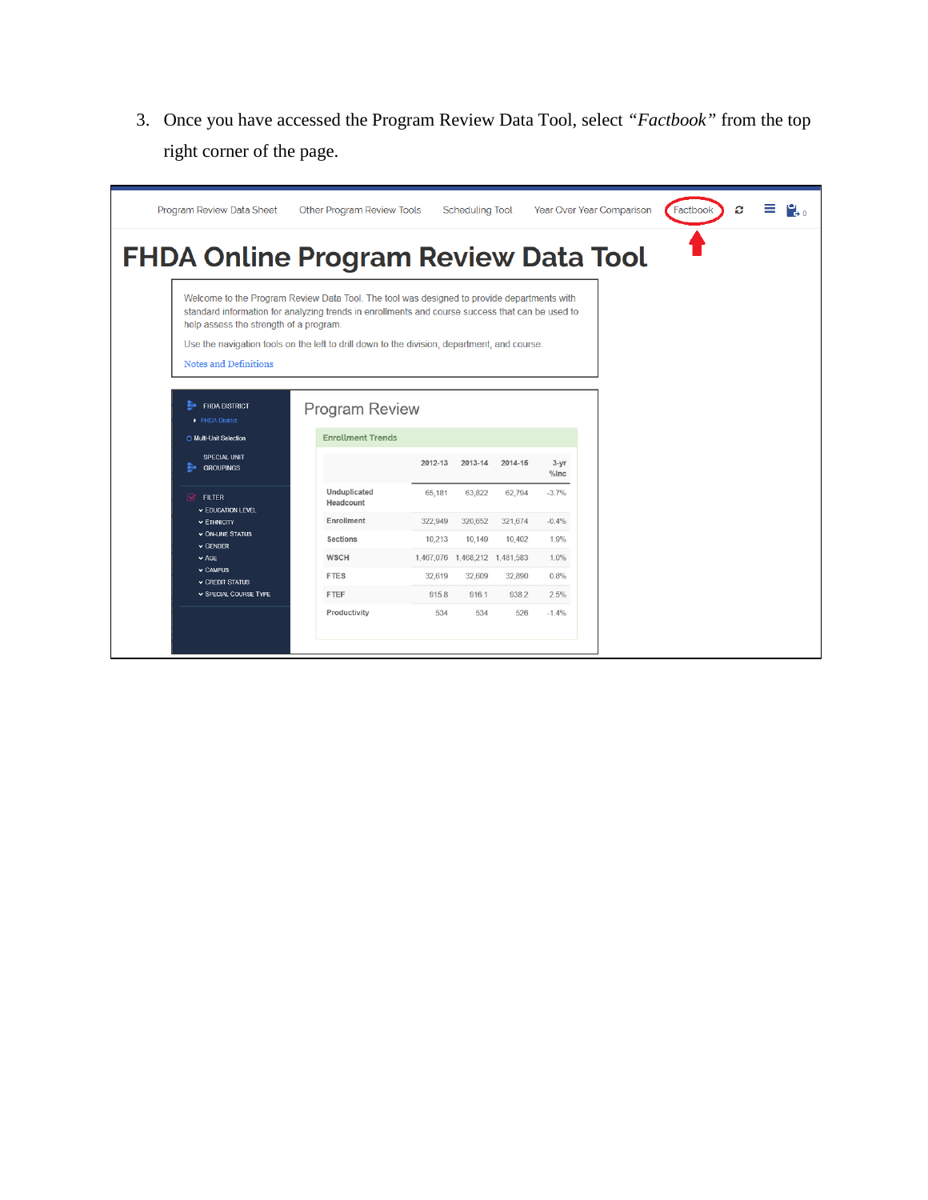3. Once you have accessed the Program Review Data Tool, select *"Factbook"* from the top right corner of the page.

| Program Review Data Sheet                                                                                                                                                                                                               | Other Program Review Tools |         | <b>Scheduling Tool</b>          |         |                  | Year Over Year Comparison | Factbook | ø |  |
|-----------------------------------------------------------------------------------------------------------------------------------------------------------------------------------------------------------------------------------------|----------------------------|---------|---------------------------------|---------|------------------|---------------------------|----------|---|--|
| <b>FHDA Online Program Review Data Tool</b>                                                                                                                                                                                             |                            |         |                                 |         |                  |                           |          |   |  |
| Welcome to the Program Review Data Tool. The tool was designed to provide departments with<br>standard information for analyzing trends in enrollments and course success that can be used to<br>help assess the strength of a program. |                            |         |                                 |         |                  |                           |          |   |  |
| Use the navigation tools on the left to drill down to the division, department, and course.                                                                                                                                             |                            |         |                                 |         |                  |                           |          |   |  |
| <b>Notes and Definitions</b>                                                                                                                                                                                                            |                            |         |                                 |         |                  |                           |          |   |  |
|                                                                                                                                                                                                                                         |                            |         |                                 |         |                  |                           |          |   |  |
| $\mathbf{H}$ FHDA DISTRICT<br>FHDA District                                                                                                                                                                                             | <b>Program Review</b>      |         |                                 |         |                  |                           |          |   |  |
| O Multi-Unit Selection                                                                                                                                                                                                                  | <b>Enrollment Trends</b>   |         |                                 |         |                  |                           |          |   |  |
| <b>SPECIAL UNIT</b><br><b>GROUPINGS</b>                                                                                                                                                                                                 |                            | 2012-13 | 2013-14                         | 2014-15 | $3 - yr$<br>%Inc |                           |          |   |  |
| $\overline{\mathbf{M}}$<br><b>FILTER</b><br><b>v EDUCATION LEVEL</b>                                                                                                                                                                    | Unduplicated<br>Headcount  | 65,181  | 63,822                          | 62,794  | $-3.7%$          |                           |          |   |  |
|                                                                                                                                                                                                                                         | Enrollment                 | 322.949 | 320,652                         | 321.674 | $-0.4%$          |                           |          |   |  |
| $\times$ ETHNICITY                                                                                                                                                                                                                      |                            |         |                                 |         |                  |                           |          |   |  |
| <b>v ON-LINE STATUS</b>                                                                                                                                                                                                                 | Sections                   | 10,213  | 10,149                          | 10,402  | 1.9%             |                           |          |   |  |
| $\vee$ GENDER<br>$\vee$ AGE                                                                                                                                                                                                             | WSCH                       |         | 1,467,076  1,468,212  1,481,583 |         | 1.0%             |                           |          |   |  |
| $\vee$ CAMPUS<br><b>v CREDIT STATUS</b>                                                                                                                                                                                                 | <b>FTES</b>                | 32,619  | 32,609                          | 32,890  | 0.8%             |                           |          |   |  |
| <b>v SPECIAL COURSE TYPE</b>                                                                                                                                                                                                            | <b>FTEF</b>                | 915.8   | 916.1                           | 938.2   | 2.5%             |                           |          |   |  |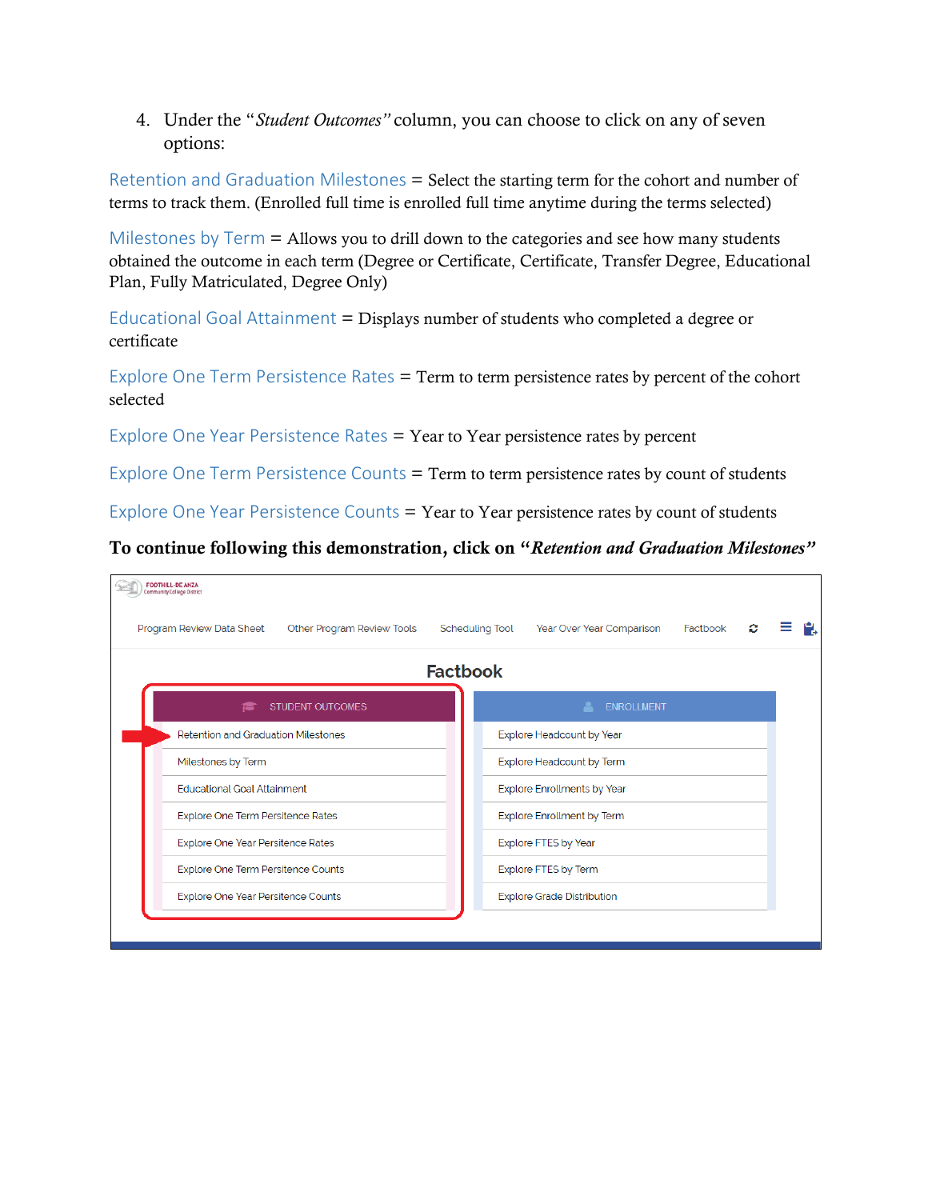4. Under the "*Student Outcomes"* column, you can choose to click on any of seven options:

Retention and Graduation Milestones = Select the starting term for the cohort and number of terms to track them. (Enrolled full time is enrolled full time anytime during the terms selected)

Milestones by  $Term =$  Allows you to drill down to the categories and see how many students obtained the outcome in each term (Degree or Certificate, Certificate, Transfer Degree, Educational Plan, Fully Matriculated, Degree Only)

Educational Goal Attainment = Displays number of students who completed a degree or certificate

Explore One Term Persistence Rates = Term to term persistence rates by percent of the cohort selected

Explore One Year Persistence Rates = Year to Year persistence rates by percent

Explore One Term Persistence Counts = Term to term persistence rates by count of students

Explore One Year Persistence Counts = Year to Year persistence rates by count of students

## To continue following this demonstration, click on "*Retention and Graduation Milestones"*

| FOOTHILL-DE ANZA<br>munity College Distric              |                        |                                    |          |  |  |  |  |  |  |
|---------------------------------------------------------|------------------------|------------------------------------|----------|--|--|--|--|--|--|
| Other Program Review Tools<br>Program Review Data Sheet | <b>Scheduling Tool</b> | Year Over Year Comparison          | Factbook |  |  |  |  |  |  |
| <b>Factbook</b>                                         |                        |                                    |          |  |  |  |  |  |  |
| <b>STUDENT OUTCOMES</b>                                 |                        | <b>ENROLLMENT</b>                  |          |  |  |  |  |  |  |
| <b>Retention and Graduation Milestones</b>              |                        | Explore Headcount by Year          |          |  |  |  |  |  |  |
| Milestones by Term                                      |                        | Explore Headcount by Term          |          |  |  |  |  |  |  |
| <b>Educational Goal Attainment</b>                      |                        | <b>Explore Enrollments by Year</b> |          |  |  |  |  |  |  |
| Explore One Term Persitence Rates                       |                        | Explore Enrollment by Term         |          |  |  |  |  |  |  |
| Explore One Year Persitence Rates                       |                        | <b>Explore FTES by Year</b>        |          |  |  |  |  |  |  |
| Explore One Term Persitence Counts                      |                        | Explore FTES by Term               |          |  |  |  |  |  |  |
| Explore One Year Persitence Counts                      |                        | <b>Explore Grade Distribution</b>  |          |  |  |  |  |  |  |
|                                                         |                        |                                    |          |  |  |  |  |  |  |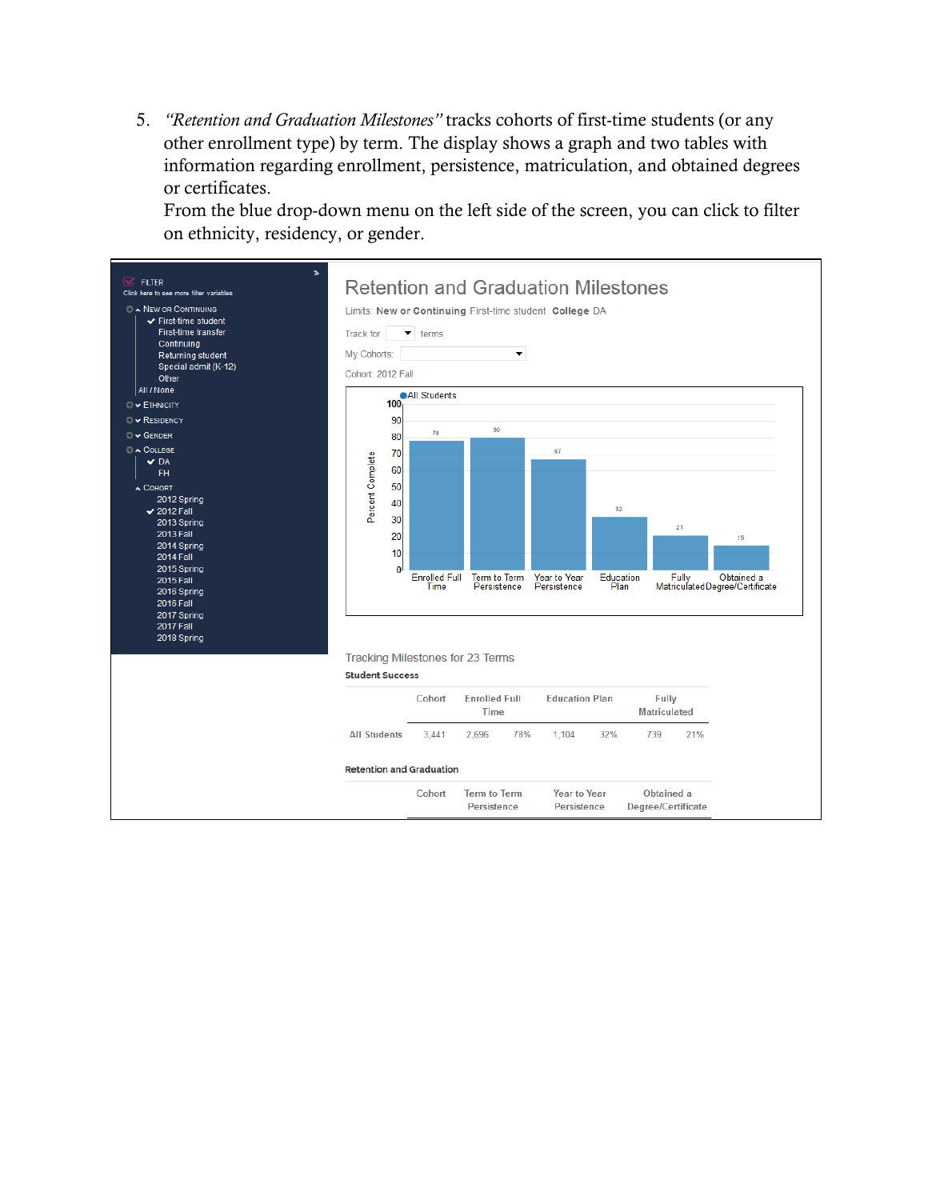5. *"Retention and Graduation Milestones"* tracks cohorts of first-time students (or any other enrollment type) by term. The display shows a graph and two tables with information regarding enrollment, persistence, matriculation, and obtained degrees or certificates.

From the blue drop-down menu on the left side of the screen, you can click to filter on ethnicity, residency, or gender.

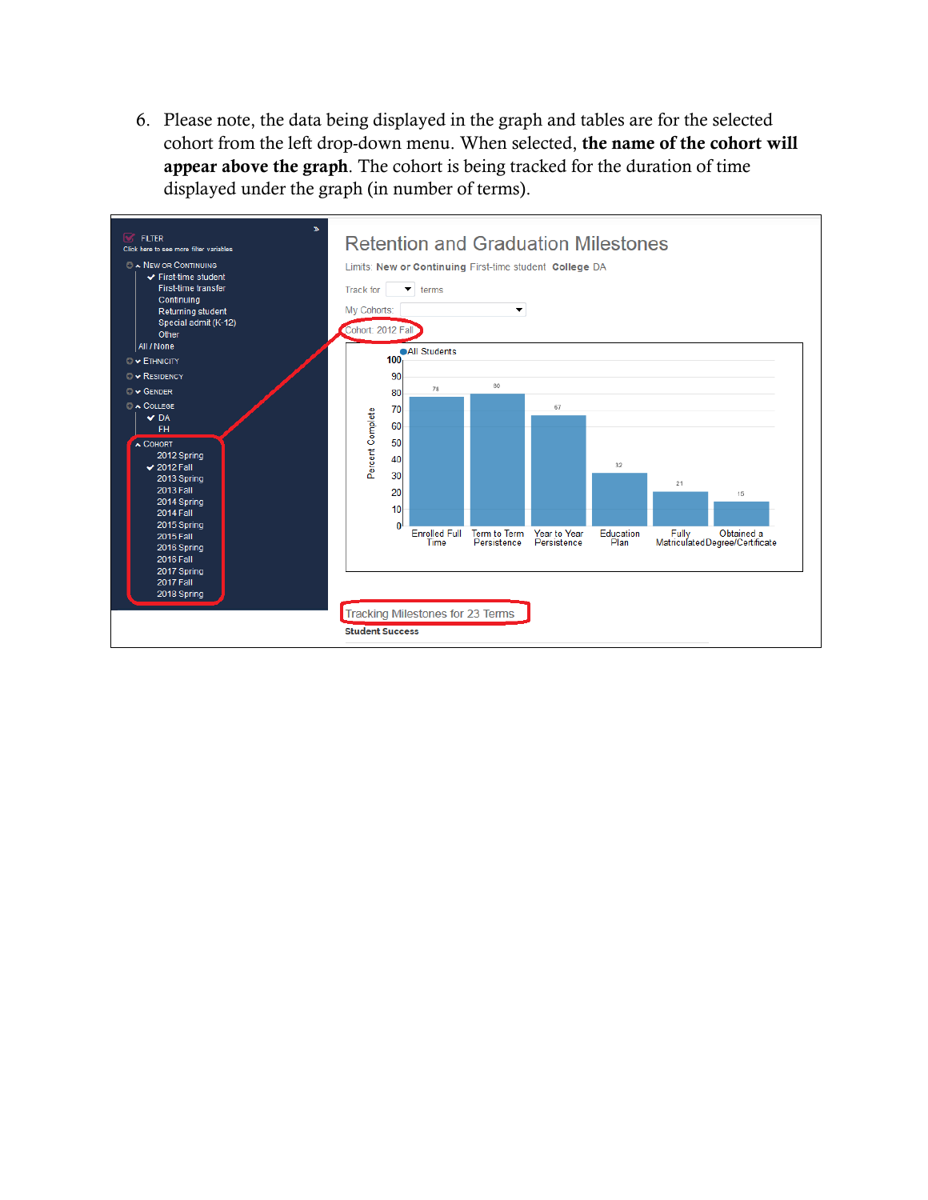6. Please note, the data being displayed in the graph and tables are for the selected cohort from the left drop-down menu. When selected, the name of the cohort will appear above the graph. The cohort is being tracked for the duration of time displayed under the graph (in number of terms).

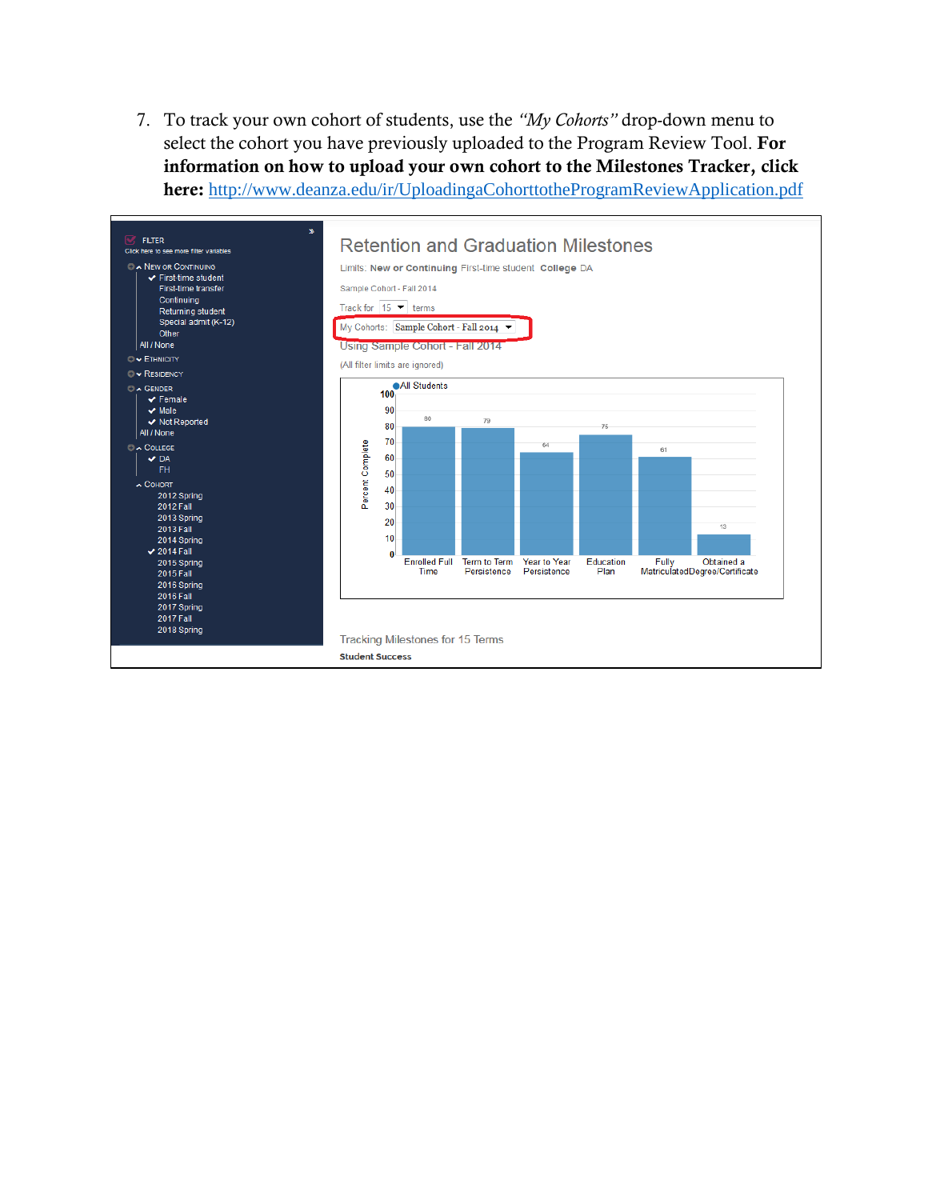7. To track your own cohort of students, use the *"My Cohorts"* drop-down menu to select the cohort you have previously uploaded to the Program Review Tool. For information on how to upload your own cohort to the Milestones Tracker, click here: <http://www.deanza.edu/ir/UploadingaCohorttotheProgramReviewApplication.pdf>